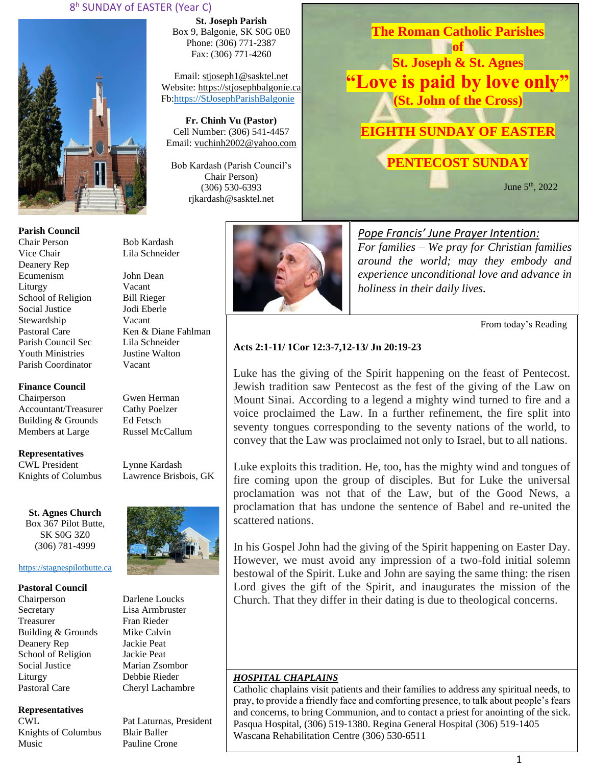### 8 <sup>h</sup> SUNDAY of EASTER (Year C)



**Parish Council** Chair Person Bob Kardash Vice Chair Lila Schneider Deanery Rep Ecumenism John Dean Liturgy Vacant School of Religion Bill Rieger Social Justice Jodi Eberle Stewardship Vacant Pastoral Care Ken & Diane Fahlman Parish Council Sec Lila Schneider Youth Ministries Justine Walton Parish Coordinator Vacant

**Finance Council** Chairperson Gwen Herman

Accountant/Treasurer Cathy Poelzer<br>Building & Grounds Ed Fetsch Building & Grounds Members at Large Russel McCallum

**Representatives** CWL President Lynne Kardash

Knights of Columbus Lawrence Brisbois, GK

**St. Agnes Church** Box 367 Pilot Butte, SK S0G 3Z0 (306) 781-4999

#### [https://stagnespilotbutte.ca](https://stagnespilotbutte.ca/)

#### **Pastoral Council**

Chairperson Darlene Loucks Secretary Lisa Armbruster Treasurer Fran Rieder Building & Grounds Mike Calvin Deanery Rep Jackie Peat School of Religion Jackie Peat Social Justice Marian Zsombor Liturgy Debbie Rieder Pastoral Care Cheryl Lachambre

#### **Representatives**

Knights of Columbus Blair Baller Music Pauline Crone

**St. Joseph Parish** Box 9, Balgonie, SK S0G 0E0 Phone: (306) 771-2387 Fax: (306) 771-4260

Email: [stjoseph1@sasktel.net](mailto:stjoseph1@sasktel.net) Website: [https://stjosephbalgonie.ca](https://stjosephbalgonie.ca/) Fb[:https://StJosephParishBalgonie](https://stjosephparishbalgonie/)

**Fr. Chinh Vu (Pastor)** Cell Number: (306) 541-4457 Email: [vuchinh2002@yahoo.com](mailto:vuchinh2002@yahoo.com)

Bob Kardash (Parish Council's Chair Person) (306) 530-6393 rjkardash@sasktel.net



**of St. Joseph & St. Agnes "Love is paid by love only" (St. John of the Cross) EIGHTH SUNDAY OF EASTER**

**PENTECOST SUNDAY**

**The Roman Catholic Parishes** 

June 5th, 2022



*Pope Francis' June Prayer Intention: For families – We pray for Christian families around the world; may they embody and experience unconditional love and advance in holiness in their daily lives.* 

From today's Reading

### **Acts 2:1-11/ 1Cor 12:3-7,12-13/ Jn 20:19-23**

Luke has the giving of the Spirit happening on the feast of Pentecost. Jewish tradition saw Pentecost as the fest of the giving of the Law on Mount Sinai. According to a legend a mighty wind turned to fire and a voice proclaimed the Law. In a further refinement, the fire split into seventy tongues corresponding to the seventy nations of the world, to convey that the Law was proclaimed not only to Israel, but to all nations.

Luke exploits this tradition. He, too, has the mighty wind and tongues of fire coming upon the group of disciples. But for Luke the universal proclamation was not that of the Law, but of the Good News, a proclamation that has undone the sentence of Babel and re-united the scattered nations.

In his Gospel John had the giving of the Spirit happening on Easter Day. However, we must avoid any impression of a two-fold initial solemn bestowal of the Spirit. Luke and John are saying the same thing: the risen Lord gives the gift of the Spirit, and inaugurates the mission of the Church. That they differ in their dating is due to theological concerns.

#### *HOSPITAL CHAPLAINS*

Catholic chaplains visit patients and their families to address any spiritual needs, to pray, to provide a friendly face and comforting presence, to talk about people's fears and concerns, to bring Communion, and to contact a priest for anointing of the sick. Pasqua Hospital, (306) 519-1380. Regina General Hospital (306) 519-1405 Wascana Rehabilitation Centre (306) 530-6511



CWL Pat Laturnas, President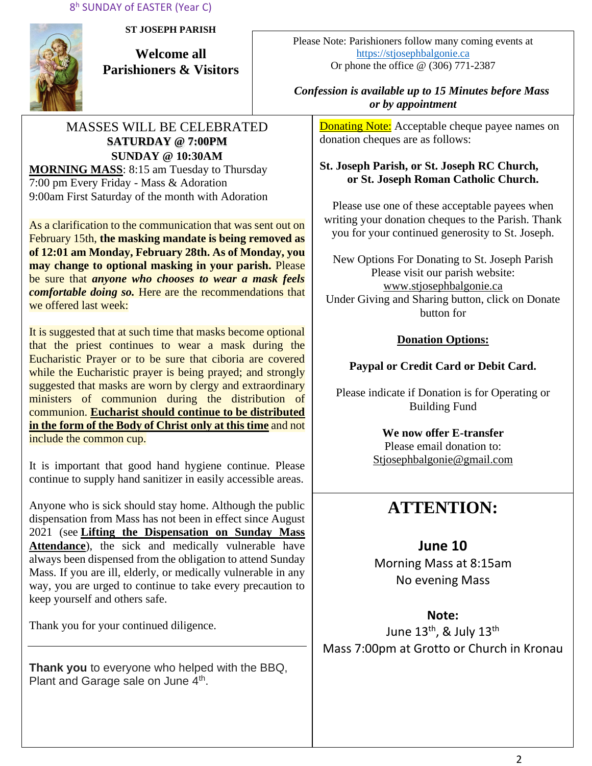

**ST JOSEPH PARISH**

**Welcome all Parishioners & Visitors**

### MASSES WILL BE CELEBRATED **SATURDAY @ 7:00PM SUNDAY @ 10:30AM MORNING MASS**: 8:15 am Tuesday to Thursday

7:00 pm Every Friday - Mass & Adoration 9:00am First Saturday of the month with Adoration

As a clarification to the communication that was sent out on February 15th, **the masking mandate is being removed as of 12:01 am Monday, February 28th. As of Monday, you may change to optional masking in your parish.** Please be sure that *anyone who chooses to wear a mask feels comfortable doing so.* Here are the recommendations that we offered last week:

It is suggested that at such time that masks become optional that the priest continues to wear a mask during the Eucharistic Prayer or to be sure that ciboria are covered while the Eucharistic prayer is being prayed; and strongly suggested that masks are worn by clergy and extraordinary ministers of communion during the distribution of communion. **Eucharist should continue to be distributed in the form of the Body of Christ only at this time** and not include the common cup.

It is important that good hand hygiene continue. Please continue to supply hand sanitizer in easily accessible areas.

Anyone who is sick should stay home. Although the public dispensation from Mass has not been in effect since August 2021 (see **[Lifting the Dispensation on Sunday Mass](https://email-mg.flocknote.com/c/eJwVTruOwyAQ_Bq7M1oDxjQU1-Q_NgvEnAlE3j2d8vch0mhezUwM-2r0bucSNOgv7OoBtFcxGmOc9saCd3CnyUKunc7WJSnqz_kItMNqKW9g3ZYpk8ukacvGgbcR9TbXcIi8eDI_k74N4EXHlR6loeJTEY6qpX8eMpbXIeAHma-rJUtpjyUWfqXGKKW3hf9axPfyROYFRdJIjdJ8BRb12-9Yx0lGPiVV1ZJ8AD2CREI)  [Attendance](https://email-mg.flocknote.com/c/eJwVTruOwyAQ_Bq7M1oDxjQU1-Q_NgvEnAlE3j2d8vch0mhezUwM-2r0bucSNOgv7OoBtFcxGmOc9saCd3CnyUKunc7WJSnqz_kItMNqKW9g3ZYpk8ukacvGgbcR9TbXcIi8eDI_k74N4EXHlR6loeJTEY6qpX8eMpbXIeAHma-rJUtpjyUWfqXGKKW3hf9axPfyROYFRdJIjdJ8BRb12-9Yx0lGPiVV1ZJ8AD2CREI)**), the sick and medically vulnerable have always been dispensed from the obligation to attend Sunday Mass. If you are ill, elderly, or medically vulnerable in any way, you are urged to continue to take every precaution to keep yourself and others safe.

Thank you for your continued diligence.

**Thank you** to everyone who helped with the BBQ, Plant and Garage sale on June 4<sup>th</sup>.

Please Note: Parishioners follow many coming events at [https://stjosephbalgonie.ca](https://stjosephbalgonie.ca/) Or phone the office @ (306) 771-2387

### *Confession is available up to 15 Minutes before Mass or by appointment*

**Donating Note:** Acceptable cheque payee names on donation cheques are as follows:

### **St. Joseph Parish, or St. Joseph RC Church, or St. Joseph Roman Catholic Church.**

Please use one of these acceptable payees when writing your donation cheques to the Parish. Thank you for your continued generosity to St. Joseph.

New Options For Donating to St. Joseph Parish Please visit our parish website: [www.stjosephbalgonie.ca](http://www.stjosephbalgonie.ca/) Under Giving and Sharing button, click on Donate button for

## **Donation Options:**

## **Paypal or Credit Card or Debit Card.**

Please indicate if Donation is for Operating or Building Fund

> **We now offer E-transfer** Please email donation to: [Stjosephbalgonie@gmail.com](mailto:Stjosephbalgonie@gmail.com)

# **ATTENTION:**

## **June 10**

Morning Mass at 8:15am No evening Mass

## **Note:**

June 13<sup>th</sup>, & July 13<sup>th</sup> Mass 7:00pm at Grotto or Church in Kronau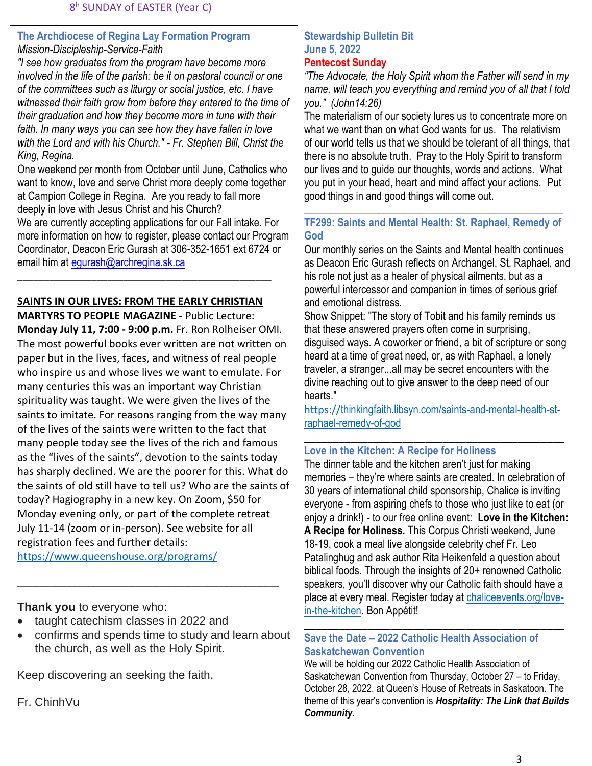### **The Archdiocese of Regina Lay Formation Program** *Mission-Discipleship-Service-Faith*

*"I see how graduates from the program have become more involved in the life of the parish: be it on pastoral council or one of the committees such as liturgy or social justice, etc. I have witnessed their faith grow from before they entered to the time of their graduation and how they become more in tune with their faith. In many ways you can see how they have fallen in love with the Lord and with his Church." - Fr. Stephen Bill, Christ the King, Regina.*

One weekend per month from October until June, Catholics who want to know, love and serve Christ more deeply come together at Campion College in Regina. Are you ready to fall more deeply in love with Jesus Christ and his Church? We are currently accepting applications for our Fall intake. For more information on how to register, please contact our Program Coordinator, Deacon Eric Gurash at 306-352-1651 ext 6724 or email him at equrash@archregina.sk.ca

### **SAINTS IN OUR LIVES: FROM THE EARLY CHRISTIAN MARTYRS TO PEOPLE MAGAZINE -** Public Lecture:

\_\_\_\_\_\_\_\_\_\_\_\_\_\_\_\_\_\_\_\_\_\_\_\_\_\_\_\_\_\_\_\_\_\_\_\_\_\_\_\_\_\_\_\_\_\_\_\_

**Monday July 11, 7:00 - 9:00 p.m.** Fr. Ron Rolheiser OMI. The most powerful books ever written are not written on paper but in the lives, faces, and witness of real people who inspire us and whose lives we want to emulate. For many centuries this was an important way Christian spirituality was taught. We were given the lives of the saints to imitate. For reasons ranging from the way many of the lives of the saints were written to the fact that many people today see the lives of the rich and famous as the "lives of the saints", devotion to the saints today has sharply declined. We are the poorer for this. What do the saints of old still have to tell us? Who are the saints of today? Hagiography in a new key. On Zoom, \$50 for Monday evening only, or part of the complete retreat July 11-14 (zoom or in-person). See website for all registration fees and further details: <https://www.queenshouse.org/programs/>

**Thank you** to everyone who:

- taught catechism classes in 2022 and
- confirms and spends time to study and learn about the church, as well as the Holy Spirit.

\_\_\_\_\_\_\_\_\_\_\_\_\_\_\_\_\_\_\_\_\_\_\_\_\_\_\_\_\_\_\_\_\_\_\_\_\_\_\_\_\_\_\_\_\_\_\_\_\_\_\_\_\_\_\_

Keep discovering an seeking the faith.

Fr. ChinhVu

### **Stewardship Bulletin Bit June 5, 2022 Pentecost Sunday**

*"The Advocate, the Holy Spirit whom the Father will send in my name, will teach you everything and remind you of all that I told you." (John14:26)*

The materialism of our society lures us to concentrate more on what we want than on what God wants for us. The relativism of our world tells us that we should be tolerant of all things, that there is no absolute truth. Pray to the Holy Spirit to transform our lives and to guide our thoughts, words and actions. What you put in your head, heart and mind affect your actions. Put good things in and good things will come out.

### \_\_\_\_\_\_\_\_\_\_\_\_\_\_\_\_\_\_\_\_\_\_\_\_\_\_\_\_\_\_\_\_\_\_\_\_\_\_\_\_\_\_\_\_\_\_\_\_\_ **TF299: Saints and Mental Health: St. Raphael, Remedy of God**

Our monthly series on the Saints and Mental health continues as Deacon Eric Gurash reflects on Archangel, St. Raphael, and his role not just as a healer of physical ailments, but as a powerful intercessor and companion in times of serious grief and emotional distress.

Show Snippet: "The story of Tobit and his family reminds us that these answered prayers often come in surprising, disguised ways. A coworker or friend, a bit of scripture or song heard at a time of great need, or, as with Raphael, a lonely traveler, a stranger...all may be secret encounters with the divine reaching out to give answer to the deep need of our hearts."

https://[thinkingfaith.libsyn.com/saints-and-mental-health-st](https://thinkingfaith.libsyn.com/saints-and-mental-health-st-raphael-remedy-of-god)[raphael-remedy-of-god](https://thinkingfaith.libsyn.com/saints-and-mental-health-st-raphael-remedy-of-god)

### \_\_\_\_\_\_\_\_\_\_\_\_\_\_\_\_\_\_\_\_\_\_\_\_\_\_\_\_\_\_\_\_\_\_\_\_\_\_\_\_\_\_\_\_\_ **Love in the Kitchen: A Recipe for Holiness**

The dinner table and the kitchen aren't just for making memories – they're where saints are created. In celebration of 30 years of international child sponsorship, Chalice is inviting everyone - from aspiring chefs to those who just like to eat (or enjoy a drink!) - to our free online event: **Love in the Kitchen: A Recipe for Holiness.** This Corpus Christi weekend, June 18-19, cook a meal live alongside celebrity chef Fr. Leo Patalinghug and ask author Rita Heikenfeld a question about biblical foods. Through the insights of 20+ renowned Catholic speakers, you'll discover why our Catholic faith should have a place at every meal. Register today at [chaliceevents.org/love](file://///ADR-DC01/users/shares/MGurash/Tuesday%20File/Archdiocesan%20News/2022/June/chaliceevents.org/love-in-the-kitchen)[in-the-kitchen.](file://///ADR-DC01/users/shares/MGurash/Tuesday%20File/Archdiocesan%20News/2022/June/chaliceevents.org/love-in-the-kitchen) Bon Appétit!

### \_\_\_\_\_\_\_\_\_\_\_\_\_\_\_\_\_\_\_\_\_\_\_\_\_\_\_\_\_\_\_\_\_\_\_\_\_\_\_\_\_\_\_\_\_ **Save the Date – 2022 Catholic Health Association of Saskatchewan Convention**

We will be holding our 2022 Catholic Health Association of Saskatchewan Convention from Thursday, October 27 – to Friday, October 28, 2022, at Queen's House of Retreats in Saskatoon. The theme of this year's convention is *Hospitality: The Link that Builds Community.*